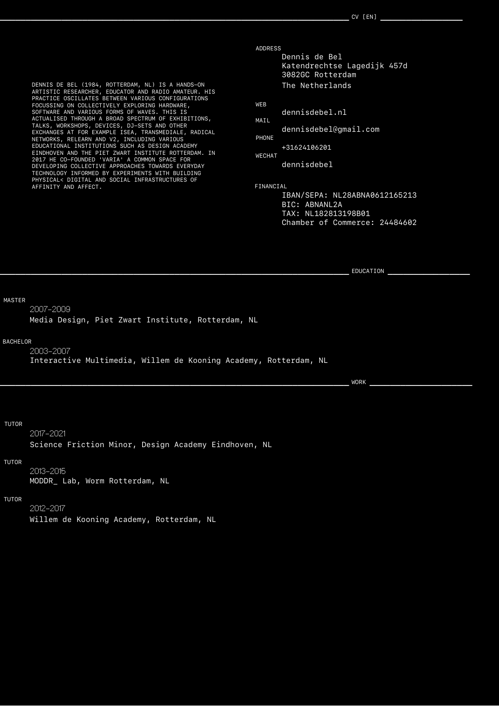DENNIS DE BEL (1984, ROTTERDAM, NL) IS A HANDS-ON ARTISTIC RESEARCHER, EDUCATOR AND RADIO AMATEUR. HIS PRACTICE OSCILLATES BETWEEN VARIOUS CONFIGURATIONS FOCUSSING ON COLLECTIVELY EXPLORING HARDWARE, SOFTWARE AND VARIOUS FORMS OF WAVES. THIS IS ACTUALISED THROUGH A BROAD SPECTRUM OF EXHIBITIONS, TALKS, WORKSHOPS, DEVICES, DJ-SETS AND OTHER EXCHANGES AT FOR EXAMPLE ISEA, TRANSMEDIALE, RADICAL NETWORKS, RELEARN AND V2, INCLUDING VARIOUS EDUCATIONAL INSTITUTIONS SUCH AS DESIGN ACADEMY EINDHOVEN AND THE PIET ZWART INSTITUTE ROTTERDAM. IN 2017 HE CO-FOUNDED 'VARIA' A COMMON SPACE FOR DEVELOPING COLLECTIVE APPROACHES TOWARDS EVERYDAY TECHNOLOGY INFORMED BY EXPERIMENTS WITH BUILDING PHYSICAL< DIGITAL AND SOCIAL INFRASTRUCTURES OF AFFINITY AND AFFECT.

ADDRESS

Dennis de Bel Katendrechtse Lagedijk 457d 3082GC Rotterdam The Netherlands

WEB

dennisdebel.nl MAIL

dennisdebel@gmail.com

PHONE

+31624106201 WECHAT

dennisdebel

FINANCIAL

IBAN/SEPA: NL28ABNA0612165213 BIC: ABNANL2A TAX: NL182813198B01 Chamber of Commerce: 24484602

**\_\_\_\_\_\_\_\_\_\_\_\_\_\_\_\_\_\_\_\_\_\_\_\_\_\_\_\_\_\_\_\_\_\_\_\_\_\_\_\_\_\_\_\_\_\_\_\_\_\_\_\_\_\_\_\_\_\_\_\_\_\_\_\_\_\_\_\_** EDUCATION **\_\_\_\_\_\_\_\_\_\_\_\_\_\_\_\_**

MASTER

2007-2009 Media Design, Piet Zwart Institute, Rotterdam, NL

#### BACHELOR

2003-2007 Interactive Multimedia, Willem de Kooning Academy, Rotterdam, NL

**\_\_\_\_\_\_\_\_\_\_\_\_\_\_\_\_\_\_\_\_\_\_\_\_\_\_\_\_\_\_\_\_\_\_\_\_\_\_\_\_\_\_\_\_\_\_\_\_\_\_\_\_\_\_\_\_\_\_\_\_\_\_\_\_\_\_\_\_** WORK **\_\_\_\_\_\_\_\_\_\_\_\_\_\_\_\_\_\_\_\_**

#### TUTOR

2017-2021

Science Friction Minor, Design Academy Eindhoven, NL

#### TUTOR

2013-2015 MODDR\_ Lab, Worm Rotterdam, NL

#### TUTOR

2012-2017

Willem de Kooning Academy, Rotterdam, NL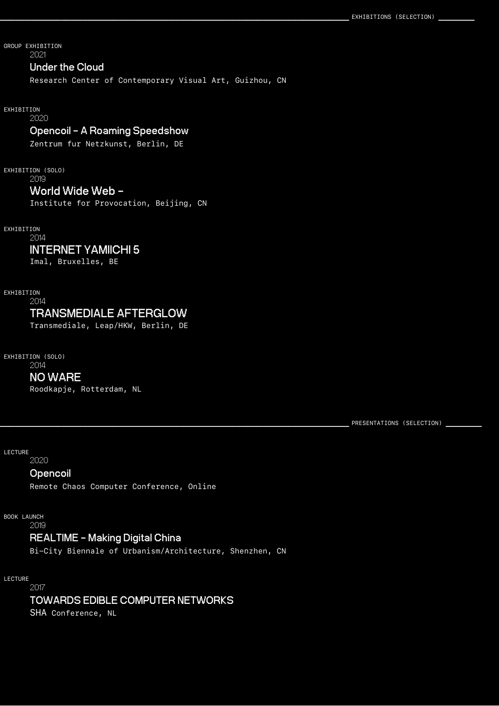GROUP EXHIBITION 2021

## **Under the Cloud**

Research Center of Contemporary Visual Art, Guizhou, CN

EXHIBITION

2020

### **Opencoil - A Roaming Speedshow**

Zentrum fur Netzkunst, Berlin, DE

EXHIBITION (SOLO)

2019

### **World Wide Web -**

Institute for Provocation, Beijing, CN

EXHIBITION

# 2014

## **INTERNET YAMIICHI 5**

Imal, Bruxelles, BE

EXHIBITION

## 2014 **TRANSMEDIALE AFTERGLOW**

Transmediale, Leap/HKW, Berlin, DE

 EXHIBITION (SOLO) 2014

**NO WARE** Roodkapje, Rotterdam, NL

PRESENTATIONS (SELECTION) **\_** 

LECTURE

2020

## **[Opencoil](https://www.youtube.com/watch?v=oQIImMd5Nws)**

Remote Chaos Computer Conference, Online

BOOK LAUNCH

2019

# **REALTIME - Making Digital China**

Bi-City Biennale of Urbanism/Architecture, Shenzhen, CN

 LECTURE 2017

**TOWARDS EDIBLE COMPUTER NETWORKS**

SHA Conference, NL